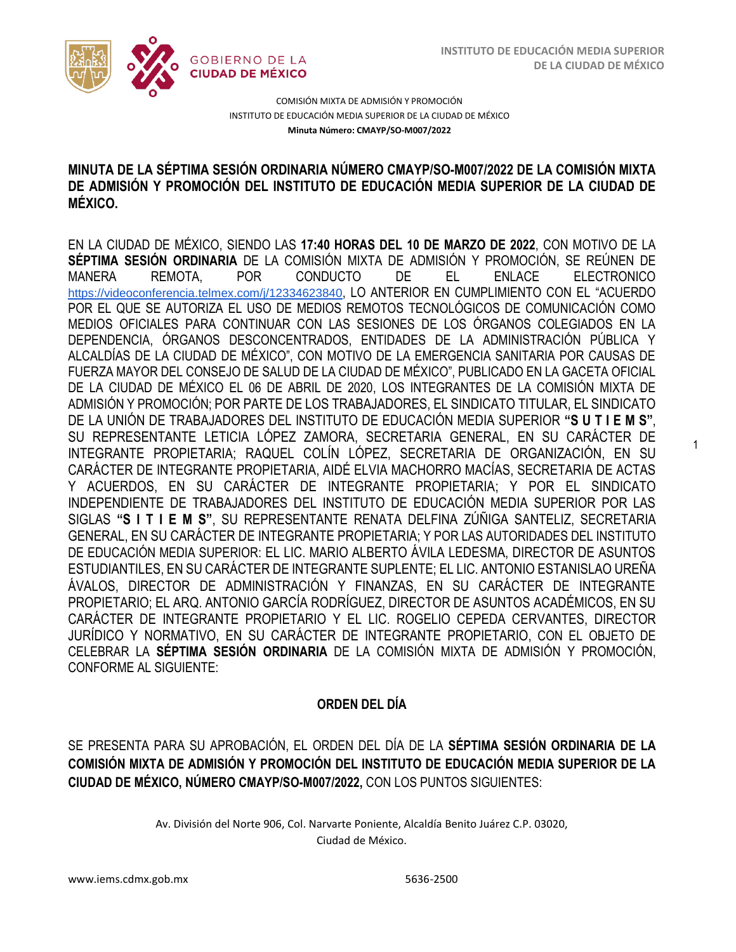1



COMISIÓN MIXTA DE ADMISIÓN Y PROMOCIÓN INSTITUTO DE EDUCACIÓN MEDIA SUPERIOR DE LA CIUDAD DE MÉXICO **Minuta Número: CMAYP/SO-M007/2022**

### /2020 **MINUTA DE LA SÉPTIMA SESIÓN ORDINARIA NÚMERO CMAYP/SO-M007/2022 DE LA COMISIÓN MIXTA DE ADMISIÓN Y PROMOCIÓN DEL INSTITUTO DE EDUCACIÓN MEDIA SUPERIOR DE LA CIUDAD DE MÉXICO.**

EN LA CIUDAD DE MÉXICO, SIENDO LAS **17:40 HORAS DEL 10 DE MARZO DE 2022**, CON MOTIVO DE LA **SÉPTIMA SESIÓN ORDINARIA** DE LA COMISIÓN MIXTA DE ADMISIÓN Y PROMOCIÓN, SE REÚNEN DE MANERA REMOTA, POR CONDUCTO DE EL ENLACE ELECTRONICO <https://videoconferencia.telmex.com/j/12334623840>, LO ANTERIOR EN CUMPLIMIENTO CON EL "ACUERDO POR EL QUE SE AUTORIZA EL USO DE MEDIOS REMOTOS TECNOLÓGICOS DE COMUNICACIÓN COMO MEDIOS OFICIALES PARA CONTINUAR CON LAS SESIONES DE LOS ÓRGANOS COLEGIADOS EN LA DEPENDENCIA, ÓRGANOS DESCONCENTRADOS, ENTIDADES DE LA ADMINISTRACIÓN PÚBLICA Y ALCALDÍAS DE LA CIUDAD DE MÉXICO", CON MOTIVO DE LA EMERGENCIA SANITARIA POR CAUSAS DE FUERZA MAYOR DEL CONSEJO DE SALUD DE LA CIUDAD DE MÉXICO", PUBLICADO EN LA GACETA OFICIAL DE LA CIUDAD DE MÉXICO EL 06 DE ABRIL DE 2020, LOS INTEGRANTES DE LA COMISIÓN MIXTA DE ADMISIÓN Y PROMOCIÓN; POR PARTE DE LOS TRABAJADORES, EL SINDICATO TITULAR, EL SINDICATO DE LA UNIÓN DE TRABAJADORES DEL INSTITUTO DE EDUCACIÓN MEDIA SUPERIOR **"S U T I E M S"**, SU REPRESENTANTE LETICIA LÓPEZ ZAMORA, SECRETARIA GENERAL, EN SU CARÁCTER DE INTEGRANTE PROPIETARIA; RAQUEL COLÍN LÓPEZ, SECRETARIA DE ORGANIZACIÓN, EN SU CARÁCTER DE INTEGRANTE PROPIETARIA, AIDÉ ELVIA MACHORRO MACÍAS, SECRETARIA DE ACTAS Y ACUERDOS, EN SU CARÁCTER DE INTEGRANTE PROPIETARIA; Y POR EL SINDICATO INDEPENDIENTE DE TRABAJADORES DEL INSTITUTO DE EDUCACIÓN MEDIA SUPERIOR POR LAS SIGLAS **"S I T I E M S"**, SU REPRESENTANTE RENATA DELFINA ZÚÑIGA SANTELIZ, SECRETARIA GENERAL, EN SU CARÁCTER DE INTEGRANTE PROPIETARIA; Y POR LAS AUTORIDADES DEL INSTITUTO DE EDUCACIÓN MEDIA SUPERIOR: EL LIC. MARIO ALBERTO ÁVILA LEDESMA, DIRECTOR DE ASUNTOS ESTUDIANTILES, EN SU CARÁCTER DE INTEGRANTE SUPLENTE; EL LIC. ANTONIO ESTANISLAO UREÑA ÁVALOS, DIRECTOR DE ADMINISTRACIÓN Y FINANZAS, EN SU CARÁCTER DE INTEGRANTE PROPIETARIO; EL ARQ. ANTONIO GARCÍA RODRÍGUEZ, DIRECTOR DE ASUNTOS ACADÉMICOS, EN SU CARÁCTER DE INTEGRANTE PROPIETARIO Y EL LIC. ROGELIO CEPEDA CERVANTES, DIRECTOR JURÍDICO Y NORMATIVO, EN SU CARÁCTER DE INTEGRANTE PROPIETARIO, CON EL OBJETO DE CELEBRAR LA **SÉPTIMA SESIÓN ORDINARIA** DE LA COMISIÓN MIXTA DE ADMISIÓN Y PROMOCIÓN, CONFORME AL SIGUIENTE:

### **ORDEN DEL DÍA**

SE PRESENTA PARA SU APROBACIÓN, EL ORDEN DEL DÍA DE LA **SÉPTIMA SESIÓN ORDINARIA DE LA COMISIÓN MIXTA DE ADMISIÓN Y PROMOCIÓN DEL INSTITUTO DE EDUCACIÓN MEDIA SUPERIOR DE LA CIUDAD DE MÉXICO, NÚMERO CMAYP/SO-M007/2022,** CON LOS PUNTOS SIGUIENTES: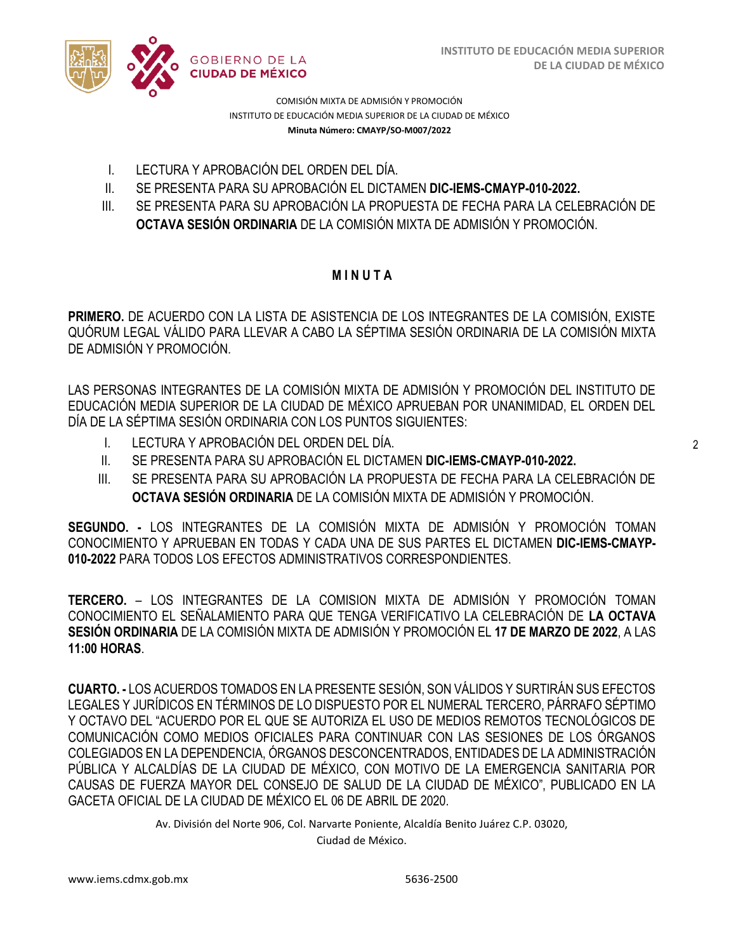

COMISIÓN MIXTA DE ADMISIÓN Y PROMOCIÓN INSTITUTO DE EDUCACIÓN MEDIA SUPERIOR DE LA CIUDAD DE MÉXICO **Minuta Número: CMAYP/SO-M007/2022**

- I. LECTURA Y APROBACIÓN DEL ORDEN DEL DÍA.
- II. SE PRESENTA PARA SU APROBACIÓN EL DICTAMEN **DIC-IEMS-CMAYP-010-2022.**
- III. SE PRESENTA PARA SU APROBACIÓN LA PROPUESTA DE FECHA PARA LA CELEBRACIÓN DE **OCTAVA SESIÓN ORDINARIA** DE LA COMISIÓN MIXTA DE ADMISIÓN Y PROMOCIÓN.

### **M I N U T A**

**PRIMERO.** DE ACUERDO CON LA LISTA DE ASISTENCIA DE LOS INTEGRANTES DE LA COMISIÓN, EXISTE QUÓRUM LEGAL VÁLIDO PARA LLEVAR A CABO LA SÉPTIMA SESIÓN ORDINARIA DE LA COMISIÓN MIXTA DE ADMISIÓN Y PROMOCIÓN.

LAS PERSONAS INTEGRANTES DE LA COMISIÓN MIXTA DE ADMISIÓN Y PROMOCIÓN DEL INSTITUTO DE EDUCACIÓN MEDIA SUPERIOR DE LA CIUDAD DE MÉXICO APRUEBAN POR UNANIMIDAD, EL ORDEN DEL DÍA DE LA SÉPTIMA SESIÓN ORDINARIA CON LOS PUNTOS SIGUIENTES:

- I. LECTURA Y APROBACIÓN DEL ORDEN DEL DÍA.
- II. SE PRESENTA PARA SU APROBACIÓN EL DICTAMEN **DIC-IEMS-CMAYP-010-2022.**
- III. SE PRESENTA PARA SU APROBACIÓN LA PROPUESTA DE FECHA PARA LA CELEBRACIÓN DE **OCTAVA SESIÓN ORDINARIA** DE LA COMISIÓN MIXTA DE ADMISIÓN Y PROMOCIÓN.

**SEGUNDO. -** LOS INTEGRANTES DE LA COMISIÓN MIXTA DE ADMISIÓN Y PROMOCIÓN TOMAN CONOCIMIENTO Y APRUEBAN EN TODAS Y CADA UNA DE SUS PARTES EL DICTAMEN **DIC-IEMS-CMAYP-010-2022** PARA TODOS LOS EFECTOS ADMINISTRATIVOS CORRESPONDIENTES.

**TERCERO.** – LOS INTEGRANTES DE LA COMISION MIXTA DE ADMISIÓN Y PROMOCIÓN TOMAN CONOCIMIENTO EL SEÑALAMIENTO PARA QUE TENGA VERIFICATIVO LA CELEBRACIÓN DE **LA OCTAVA SESIÓN ORDINARIA** DE LA COMISIÓN MIXTA DE ADMISIÓN Y PROMOCIÓN EL **17 DE MARZO DE 2022**, A LAS **11:00 HORAS**.

**CUARTO. -** LOS ACUERDOS TOMADOS EN LA PRESENTE SESIÓN, SON VÁLIDOS Y SURTIRÁN SUS EFECTOS LEGALES Y JURÍDICOS EN TÉRMINOS DE LO DISPUESTO POR EL NUMERAL TERCERO, PÁRRAFO SÉPTIMO Y OCTAVO DEL "ACUERDO POR EL QUE SE AUTORIZA EL USO DE MEDIOS REMOTOS TECNOLÓGICOS DE COMUNICACIÓN COMO MEDIOS OFICIALES PARA CONTINUAR CON LAS SESIONES DE LOS ÓRGANOS COLEGIADOS EN LA DEPENDENCIA, ÓRGANOS DESCONCENTRADOS, ENTIDADES DE LA ADMINISTRACIÓN PÚBLICA Y ALCALDÍAS DE LA CIUDAD DE MÉXICO, CON MOTIVO DE LA EMERGENCIA SANITARIA POR CAUSAS DE FUERZA MAYOR DEL CONSEJO DE SALUD DE LA CIUDAD DE MÉXICO", PUBLICADO EN LA GACETA OFICIAL DE LA CIUDAD DE MÉXICO EL 06 DE ABRIL DE 2020.

Av. División del Norte 906, Col. Narvarte Poniente, Alcaldía Benito Juárez C.P. 03020,

Ciudad de México.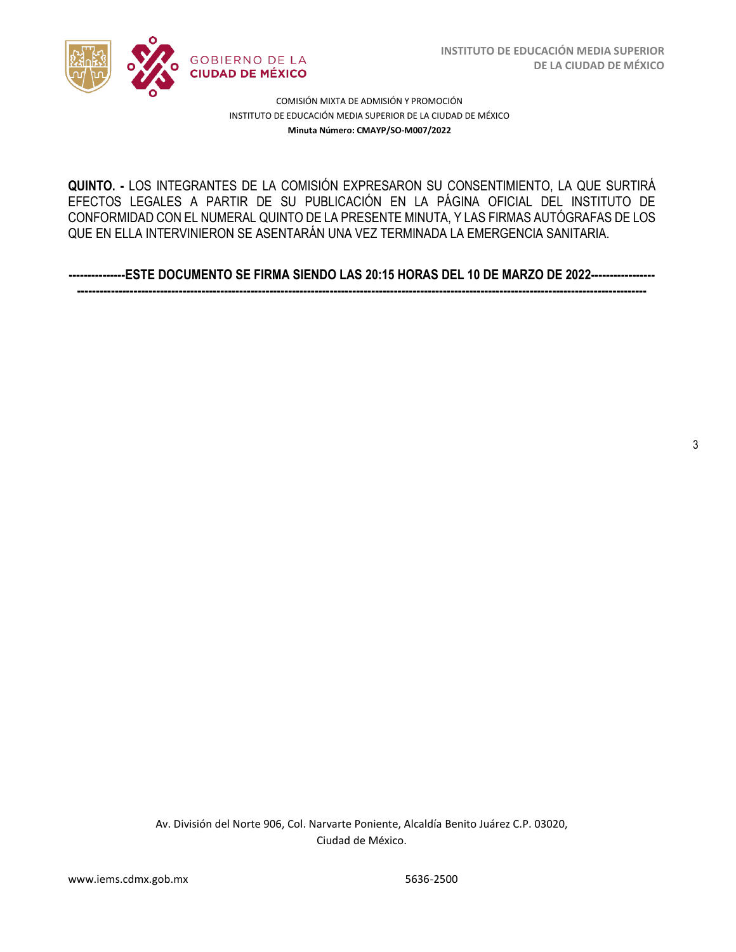

3

COMISIÓN MIXTA DE ADMISIÓN Y PROMOCIÓN INSTITUTO DE EDUCACIÓN MEDIA SUPERIOR DE LA CIUDAD DE MÉXICO **Minuta Número: CMAYP/SO-M007/2022**

 EFECTOS LEGALES A PARTIR DE SU PUBLICACIÓN EN LA PÁGINA OFICIAL DEL INSTITUTO DE **QUINTO. -** LOS INTEGRANTES DE LA COMISIÓN EXPRESARON SU CONSENTIMIENTO, LA QUE SURTIRÁ CONFORMIDAD CON EL NUMERAL QUINTO DE LA PRESENTE MINUTA, Y LAS FIRMAS AUTÓGRAFAS DE LOS QUE EN ELLA INTERVINIERON SE ASENTARÁN UNA VEZ TERMINADA LA EMERGENCIA SANITARIA.

**---------------ESTE DOCUMENTO SE FIRMA SIENDO LAS 20:15 HORAS DEL 10 DE MARZO DE 2022----------------- -------------------------------------------------------------------------------------------------------------------------------------------------------**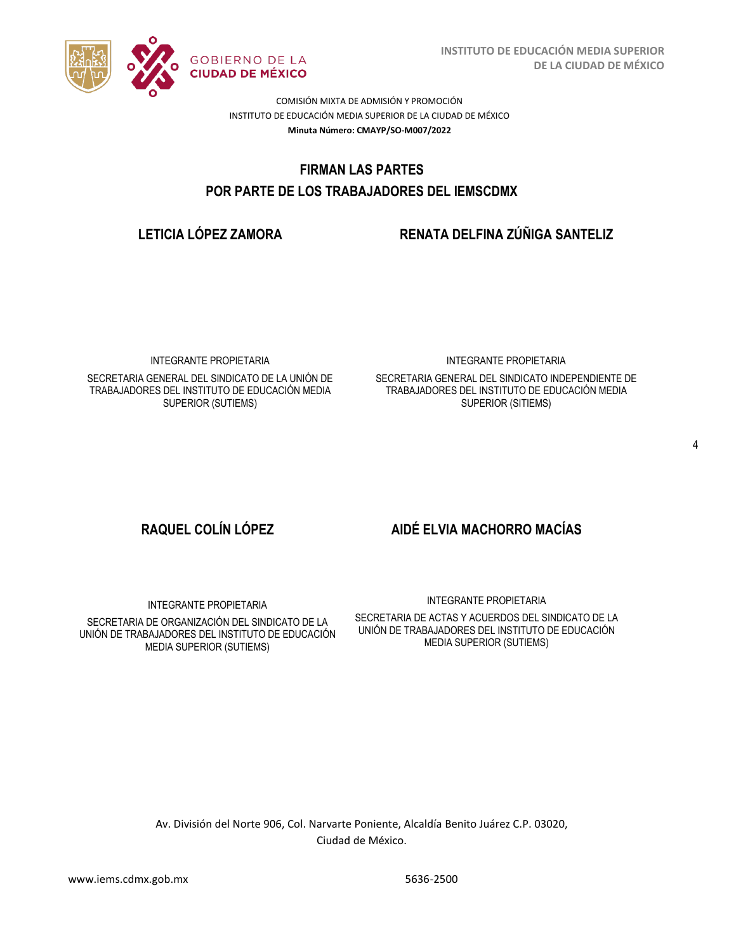

COMISIÓN MIXTA DE ADMISIÓN Y PROMOCIÓN INSTITUTO DE EDUCACIÓN MEDIA SUPERIOR DE LA CIUDAD DE MÉXICO **Minuta Número: CMAYP/SO-M007/2022**

# FIRMAN LAS PARTES  **POR PARTE DE LOS TRABAJADORES DEL IEMSCDMX**

## **LETICIA LÓPEZ ZAMORA RENATA DELFINA ZÚÑIGA SANTELIZ**

INTEGRANTE PROPIETARIA

SECRETARIA GENERAL DEL SINDICATO DE LA UNIÓN DE TRABAJADORES DEL INSTITUTO DE EDUCACIÓN MEDIA SUPERIOR (SUTIEMS)

INTEGRANTE PROPIETARIA

SECRETARIA GENERAL DEL SINDICATO INDEPENDIENTE DE TRABAJADORES DEL INSTITUTO DE EDUCACIÓN MEDIA SUPERIOR (SITIEMS)

# **RAQUEL COLÍN LÓPEZ AIDÉ ELVIA MACHORRO MACÍAS**

INTEGRANTE PROPIETARIA

SECRETARIA DE ORGANIZACIÓN DEL SINDICATO DE LA UNIÓN DE TRABAJADORES DEL INSTITUTO DE EDUCACIÓN MEDIA SUPERIOR (SUTIEMS)

INTEGRANTE PROPIETARIA

SECRETARIA DE ACTAS Y ACUERDOS DEL SINDICATO DE LA UNIÓN DE TRABAJADORES DEL INSTITUTO DE EDUCACIÓN MEDIA SUPERIOR (SUTIEMS)